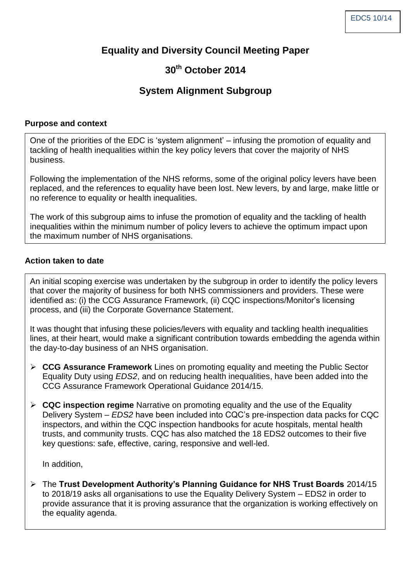## **Equality and Diversity Council Meeting Paper**

# **30th October 2014**

## **System Alignment Subgroup**

#### **Purpose and context**

One of the priorities of the EDC is 'system alignment' – infusing the promotion of equality and tackling of health inequalities within the key policy levers that cover the majority of NHS business.

Following the implementation of the NHS reforms, some of the original policy levers have been replaced, and the references to equality have been lost. New levers, by and large, make little or no reference to equality or health inequalities.

The work of this subgroup aims to infuse the promotion of equality and the tackling of health inequalities within the minimum number of policy levers to achieve the optimum impact upon the maximum number of NHS organisations.

#### **Action taken to date**

An initial scoping exercise was undertaken by the subgroup in order to identify the policy levers that cover the majority of business for both NHS commissioners and providers. These were identified as: (i) the CCG Assurance Framework, (ii) CQC inspections/Monitor's licensing process, and (iii) the Corporate Governance Statement.

It was thought that infusing these policies/levers with equality and tackling health inequalities lines, at their heart, would make a significant contribution towards embedding the agenda within the day-to-day business of an NHS organisation.

- **CCG Assurance Framework** Lines on promoting equality and meeting the Public Sector Equality Duty using *EDS2*, and on reducing health inequalities, have been added into the CCG Assurance Framework Operational Guidance 2014/15.
- **CQC inspection regime** Narrative on promoting equality and the use of the Equality Delivery System – *EDS2* have been included into CQC's pre-inspection data packs for CQC inspectors, and within the CQC inspection handbooks for acute hospitals, mental health trusts, and community trusts. CQC has also matched the 18 EDS2 outcomes to their five key questions: safe, effective, caring, responsive and well-led.

In addition,

 The **Trust Development Authority's Planning Guidance for NHS Trust Boards** 2014/15 to 2018/19 asks all organisations to use the Equality Delivery System – EDS2 in order to provide assurance that it is proving assurance that the organization is working effectively on the equality agenda.